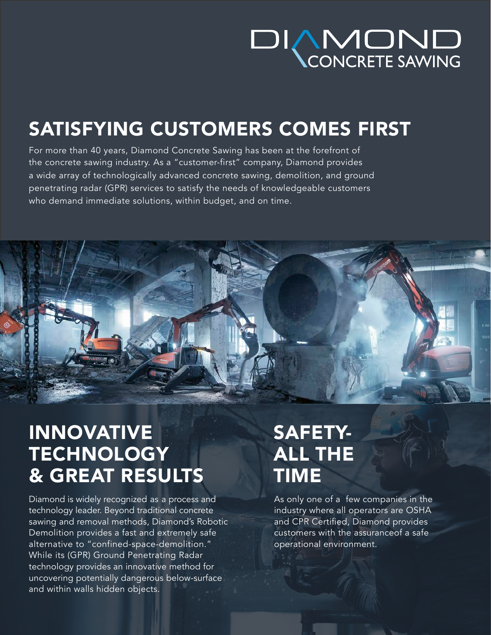# **DIAMOND**<br>CONCRETE SAWING

### SATISFYING CUSTOMERS COMES FIRST

For more than 40 years, Diamond Concrete Sawing has been at the forefront of the concrete sawing industry. As a "customer-first" company, Diamond provides a wide array of technologically advanced concrete sawing, demolition, and ground penetrating radar (GPR) services to satisfy the needs of knowledgeable customers who demand immediate solutions, within budget, and on time.



#### INNOVATIVE **TECHNOLOGY** & GREAT RESULTS

Diamond is widely recognized as a process and technology leader. Beyond traditional concrete sawing and removal methods, Diamond's Robotic Demolition provides a fast and extremely safe alternative to "confined-space-demolition." While its (GPR) Ground Penetrating Radar technology provides an innovative method for uncovering potentially dangerous below-surface and within walls hidden objects.

#### SAFETY-ALL THE TIME

As only one of a few companies in the industry where all operators are OSHA and CPR Certified, Diamond provides customers with the assuranceof a safe operational environment.